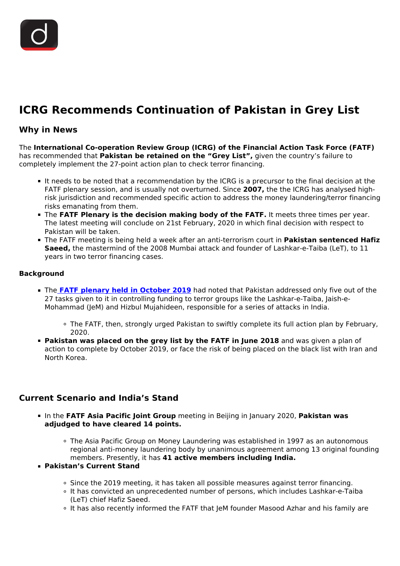# **ICRG Recommends Continuation of Pakistan in Grey List**

# **Why in News**

The **International Co-operation Review Group (ICRG) of the Financial Action Task Force (FATF)** has recommended that **Pakistan be retained on the "Grey List",** given the country's failure to completely implement the 27-point action plan to check terror financing.

- It needs to be noted that a recommendation by the ICRG is a precursor to the final decision at the FATF plenary session, and is usually not overturned. Since **2007,** the the ICRG has analysed highrisk jurisdiction and recommended specific action to address the money laundering/terror financing risks emanating from them.
- **The FATF Plenary is the decision making body of the FATF.** It meets three times per year. The latest meeting will conclude on 21st February, 2020 in which final decision with respect to Pakistan will be taken.
- The FATF meeting is being held a week after an anti-terrorism court in **Pakistan sentenced Hafiz Saeed,** the mastermind of the 2008 Mumbai attack and founder of Lashkar-e-Taiba (LeT), to 11 years in two terror financing cases.

## **Background**

- The **[FATF plenary held in October 2019](/daily-updates/daily-news-analysis/fatf-s-grey-list)** had noted that Pakistan addressed only five out of the 27 tasks given to it in controlling funding to terror groups like the Lashkar-e-Taiba, Jaish-e-Mohammad (JeM) and Hizbul Mujahideen, responsible for a series of attacks in India.
	- The FATF, then, strongly urged Pakistan to swiftly complete its full action plan by February, 2020.
- **Pakistan was placed on the grey list by the FATF in June 2018** and was given a plan of action to complete by October 2019, or face the risk of being placed on the black list with Iran and North Korea.

## **Current Scenario and India's Stand**

- In the **FATF Asia Pacific Joint Group** meeting in Beijing in January 2020, **Pakistan was adjudged to have cleared 14 points.**
	- The Asia Pacific Group on Money Laundering was established in 1997 as an autonomous regional anti-money laundering body by unanimous agreement among 13 original founding members. Presently, it has **41 active members including India.**
- **Pakistan's Current Stand**
	- $\circ$  Since the 2019 meeting, it has taken all possible measures against terror financing.
	- It has convicted an unprecedented number of persons, which includes Lashkar-e-Taiba (LeT) chief Hafiz Saeed.
	- It has also recently informed the FATF that JeM founder Masood Azhar and his family are